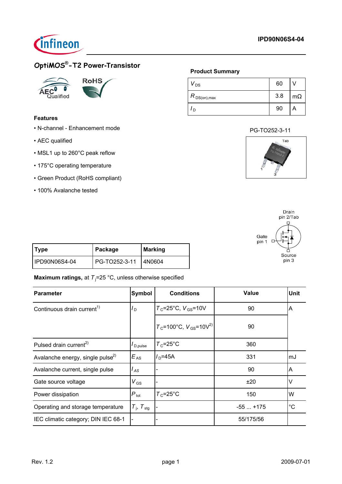



# **OptiMOS® -T2 Power-Transistor**





## **Features**

- N-channel Enhancement mode
- AEC qualified
- MSL1 up to 260°C peak reflow
- 175°C operating temperature
- Green Product (RoHS compliant)
- 100% Avalanche tested

## **Product Summary**

| DS                         | 60  |           |
|----------------------------|-----|-----------|
| $ R$ <sub>DS(on),max</sub> | 3.8 | $m\Omega$ |
| D                          | 90  | А         |

## PG-TO252-3-11





| Type          | Package       | Marking |
|---------------|---------------|---------|
| IPD90N06S4-04 | PG-TO252-3-11 | 14N0604 |

## **Maximum ratings,** at T<sub>j</sub>=25 °C, unless otherwise specified

| <b>Parameter</b>                             | Symbol                   | <b>Conditions</b>                         | Value     | <b>Unit</b> |
|----------------------------------------------|--------------------------|-------------------------------------------|-----------|-------------|
| Continuous drain current <sup>1)</sup>       | $I_D$                    | $T_c$ =25°C, $V_{GS}$ =10V                | 90        | A           |
|                                              |                          | $T_c$ =100°C, $V_{GS}$ =10V <sup>2)</sup> | 90        |             |
| Pulsed drain current <sup>2)</sup>           | I <sub>D.pulse</sub>     | $T_c = 25^{\circ}$ C                      | 360       |             |
| Avalanche energy, single pulse <sup>2)</sup> | $E_{AS}$                 | $ID=45A$                                  | 331       | mJ          |
| Avalanche current, single pulse              | l <sub>AS</sub>          |                                           | 90        | A           |
| Gate source voltage                          | $V_{GS}$                 |                                           | ±20       | V           |
| Power dissipation                            | $P_{\text{tot}}$         | $T_c = 25^{\circ}C$                       | 150       | W           |
| Operating and storage temperature            | $T_i$ , $T_{\text{stg}}$ |                                           | $-55+175$ | $^{\circ}C$ |
| IEC climatic category; DIN IEC 68-1          |                          |                                           | 55/175/56 |             |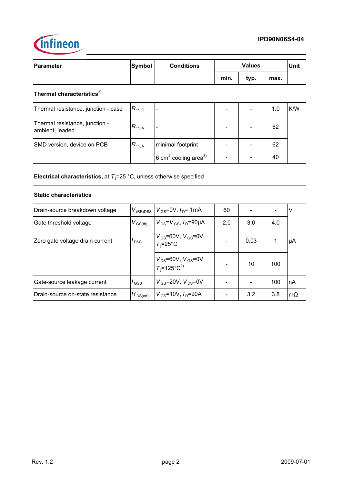



| <b>Parameter</b>                      | <b>Symbol</b>    | <b>Conditions</b> |      | <b>Values</b> |        |     |
|---------------------------------------|------------------|-------------------|------|---------------|--------|-----|
|                                       |                  |                   | min. | typ.          | max.   |     |
| Thermal characteristics <sup>2)</sup> |                  |                   |      |               |        |     |
| Thermal resistance, junction - case   | $R_{\,\rm thJC}$ |                   | -    |               | 1.0    | K/W |
| Thermal resistance, junction -        | D                |                   |      |               | $\sim$ |     |

| THEITIM TESISMICE, JUNCTION -<br>ambient, leaded | $R_{thJA}$ |                                             | $\qquad \qquad \blacksquare$ | ۰. | 62 |  |
|--------------------------------------------------|------------|---------------------------------------------|------------------------------|----|----|--|
| SMD version, device on PCB                       | $R_{thJA}$ | minimal footprint                           | $\overline{\phantom{0}}$     |    | 62 |  |
|                                                  |            | $6 \text{ cm}^2$ cooling area <sup>3)</sup> | $\qquad \qquad \blacksquare$ | -  | 40 |  |

**Electrical characteristics,** at T<sub>i</sub>=25 °C, unless otherwise specified

## **Static characteristics**

| Drain-source breakdown voltage   |                  | $V_{(BR)DSS}$   $V_{GS}$ =0V, $I_{D}$ = 1mA                | 60  |      |     | V         |
|----------------------------------|------------------|------------------------------------------------------------|-----|------|-----|-----------|
| Gate threshold voltage           | $V_{\rm GS(th)}$ | $V_{DS} = V_{GS}$ , $I_D = 90 \mu A$                       | 2.0 | 3.0  | 4.0 |           |
| Zero gate voltage drain current  | $I_{\text{DSS}}$ | $V_{DS}$ =60V, $V_{GS}$ =0V,<br>$T_i = 25^{\circ}C$        |     | 0.03 |     | μA        |
|                                  |                  | $V_{DS}$ =60V, $V_{GS}$ =0V,<br>$T_i$ =125°C <sup>2)</sup> |     | 10   | 100 |           |
| Gate-source leakage current      | $\mathsf{GSS}$   | $V_{GS}$ =20V, $V_{DS}$ =0V                                |     |      | 100 | nA        |
| Drain-source on-state resistance | $R_{DS(on)}$     | $V_{GS}$ =10V, $I_{D}$ =90A                                |     | 3.2  | 3.8 | $m\Omega$ |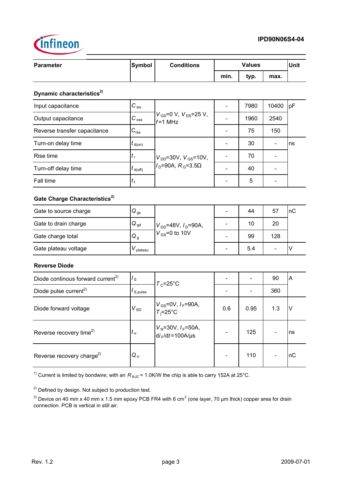

| <b>Parameter</b>                              | <b>Symbol</b>        | <b>Conditions</b>                                             | <b>Values</b>            |                              | <b>Unit</b>                  |    |  |
|-----------------------------------------------|----------------------|---------------------------------------------------------------|--------------------------|------------------------------|------------------------------|----|--|
|                                               |                      |                                                               | min.                     | typ.                         | max.                         |    |  |
| Dynamic characteristics <sup>2)</sup>         |                      |                                                               |                          |                              |                              |    |  |
| Input capacitance                             | $C_{\,\mathrm{iss}}$ |                                                               | $\blacksquare$           | 7980                         | 10400                        | pF |  |
| Output capacitance                            | $C_{\,\mathrm{oss}}$ | $V_{\rm GS}$ =0 V, $V_{\rm DS}$ =25 V,<br>$f = 1$ MHz         |                          | 1960                         | 2540                         |    |  |
| Reverse transfer capacitance                  | $C_{\text{rss}}$     |                                                               | $\blacksquare$           | 75                           | 150                          |    |  |
| Turn-on delay time                            | $t_{\sf d(on)}$      |                                                               |                          | 30                           |                              | ns |  |
| Rise time                                     | $t_{\rm r}$          | $V_{\text{DD}}$ =30V, $V_{\text{GS}}$ =10V,                   |                          | 70                           | $\qquad \qquad \blacksquare$ |    |  |
| Turn-off delay time                           | $t_{\rm d(Off)}$     | $I_{\text{D}}$ =90A, $R_{\text{G}}$ =3.5 $\Omega$             |                          | 40                           |                              |    |  |
| Fall time                                     | $t_{\rm f}$          |                                                               | $\overline{\phantom{a}}$ | 5                            | $\overline{\phantom{0}}$     |    |  |
| Gate Charge Characteristics <sup>2)</sup>     |                      |                                                               |                          |                              |                              |    |  |
| Gate to source charge                         | $Q_{\rm gs}$         | $V_{DD}$ =48V, $I_D$ =90A,<br>$V_{GS}$ =0 to 10V              |                          | 44                           | 57                           | nC |  |
| Gate to drain charge                          | $Q_{gd}$             |                                                               |                          | 10                           | 20                           |    |  |
| Gate charge total                             | $Q_g$                |                                                               |                          | 99                           | 128                          |    |  |
| Gate plateau voltage                          | $V_{\text{plateau}}$ |                                                               |                          | 5.4                          | $\overline{\phantom{0}}$     | V  |  |
| <b>Reverse Diode</b>                          |                      |                                                               |                          |                              |                              |    |  |
| Diode continous forward current <sup>2)</sup> | $I_{\rm S}$          |                                                               |                          |                              | 90                           | A  |  |
| Diode pulse current <sup>2)</sup>             | $I_{S, pulse}$       | $T_c = 25^{\circ}C$                                           | $\overline{\phantom{a}}$ | $\qquad \qquad \blacksquare$ | 360                          |    |  |
| Diode forward voltage                         | $V_{\rm SD}$         | $V_{GS}$ =0V, $I_F$ =90A,<br>$T_i = 25^{\circ}C$              | 0.6                      | 0.95                         | 1.3                          | V  |  |
| Reverse recovery time <sup>2)</sup>           | $t_{\rm rr}$         | $V_{\rm R}$ =30V, $I_{\rm F}$ =50A,<br>$di_F/dt = 100A/\mu s$ |                          | 125                          | $\qquad \qquad \blacksquare$ | ns |  |
| Reverse recovery charge <sup>2)</sup>         | $Q_{rr}$             |                                                               |                          | 110                          | -                            | nC |  |

<sup>1)</sup> Current is limited by bondwire; with an  $R_{thJC}$  = 1.0K/W the chip is able to carry 152A at 25°C.

<sup>2)</sup> Defined by design. Not subject to production test.

<sup>3)</sup> Device on 40 mm x 40 mm x 1.5 mm epoxy PCB FR4 with 6 cm<sup>2</sup> (one layer, 70 µm thick) copper area for drain connection. PCB is vertical in still air.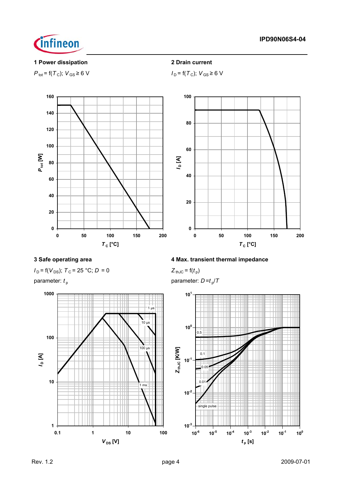



## **1 Power dissipation 2 Drain current**

$$
P_{\text{tot}} = f(T_{\text{C}}); V_{\text{GS}} \ge 6 \text{ V}
$$

*<i>P***<sub>D</sub>** = f( $T$ <sub>C</sub>); *V*<sub>GS</sub> ≥ 6 V





 $I_D$  = f( $V_{DS}$ );  $T_C$  = 25 °C;  $D = 0$ 



## **3 Safe operating area 4 Max. transient thermal impedance**

$$
Z_{\text{thJC}} = \mathsf{f}(t_{\text{p}})
$$

parameter:  $t_p$  parameter:  $D = t_p/T$ 

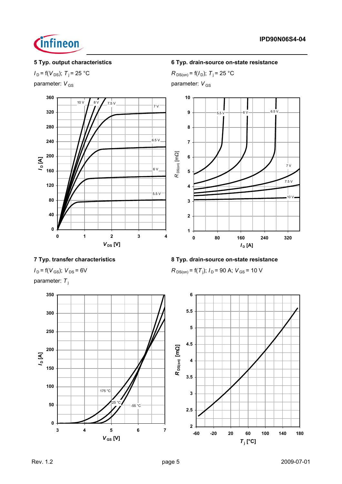

parameter: *V*<sub>GS</sub> parameter: *V*<sub>GS</sub>



**5 Typ. output characteristics 6 Typ. drain-source on-state resistance**

*I*<sub>D</sub> = f(*V*<sub>DS</sub>); *T*<sub>j</sub> = 25 °C *R*<sub>DS(on)</sub> = f(*I*<sub>D</sub>); *T*<sub>j</sub> = 25 °C



# **7 Typ. transfer characteristics 8 Typ. drain-source on-state resistance**

 $I_D = f(V_{GS})$ ;  $V_{DS} = 6V$ 

parameter: T<sub>i</sub>



# $R_{DS(on)}$  = f(T<sub>j</sub>);  $I_D$  = 90 A;  $V_{GS}$  = 10 V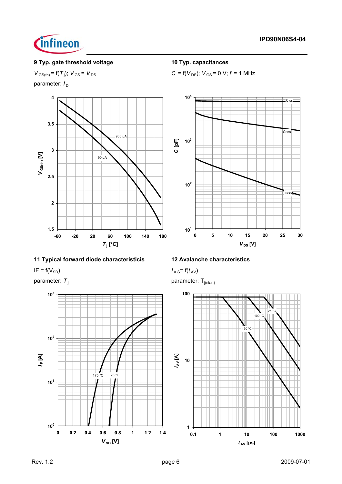

# **9 Typ. gate threshold voltage 10 Typ. capacitances**

 $V_{\text{GS(th)}}$  = f( $T_{\text{j}}$ );  $V_{\text{GS}}$  =  $V_{\text{DS}}$ 

parameter:  $I_D$ 



## **11 Typical forward diode characteristicis 12 Avalanche characteristics**

 $I_{\text{A S}} = f(V_{\text{SD}})$  *I*  $\overline{I_{\text{A S}} = f(t_{\text{AV}})}$ 



 $C = f(V_{DS})$ ;  $V_{GS} = 0$  V;  $f = 1$  MHz



parameter:  $T_i$  parameter:  $T_{i(\text{start})}$ 

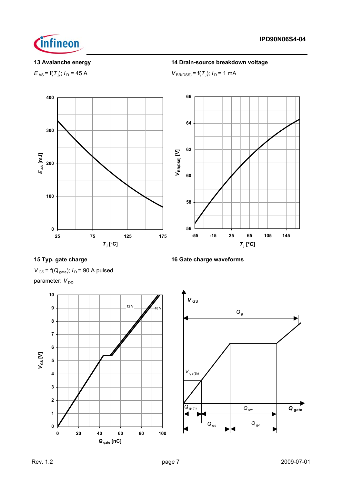

 $E_{AS}$  = f(*T*<sub>i</sub>);  $I_D$  = 45 A

## **13 Avalanche energy 14 Drain-source breakdown voltage**

);  $I_D = 45 \text{ A}$  *V*<sub>BR(DSS)</sub> = f(*T*<sub>j</sub>);  $I_D = 1 \text{ mA}$ 



# **15 Typ. gate charge 16 Gate charge waveforms**

 $V_{\text{GS}}$  = f( $Q_{\text{gate}}$ );  $I_{\text{D}}$  = 90 A pulsed parameter: V<sub>DD</sub>



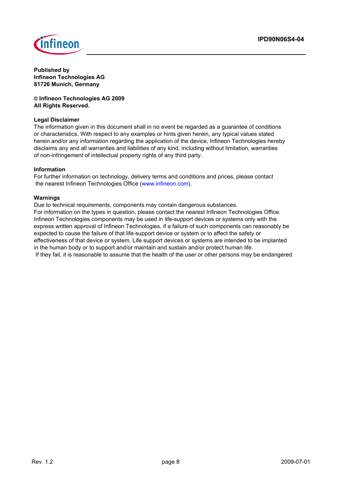

**Published by Infineon Technologies AG 81726 Munich, Germany**

**© Infineon Technologies AG 2009 All Rights Reserved.**

## **Legal Disclaimer**

The information given in this document shall in no event be regarded as a guarantee of conditions or characteristics. With respect to any examples or hints given herein, any typical values stated herein and/or any information regarding the application of the device, Infineon Technologies hereby disclaims any and all warranties and liabilities of any kind, including without limitation, warranties of non-infringement of intellectual property rights of any third party.

## **Information**

For further information on technology, delivery terms and conditions and prices, please contact the nearest Infineon Technologies Office (www.infineon.com).

## **Warnings**

Due to technical requirements, components may contain dangerous substances. For information on the types in question, please contact the nearest Infineon Technologies Office. Infineon Technologies components may be used in life-support devices or systems only with the express written approval of Infineon Technologies, if a failure of such components can reasonably be expected to cause the failure of that life-support device or system or to affect the safety or effectiveness of that device or system. Life support devices or systems are intended to be implanted in the human body or to support and/or maintain and sustain and/or protect human life. If they fail, it is reasonable to assume that the health of the user or other persons may be endangered.